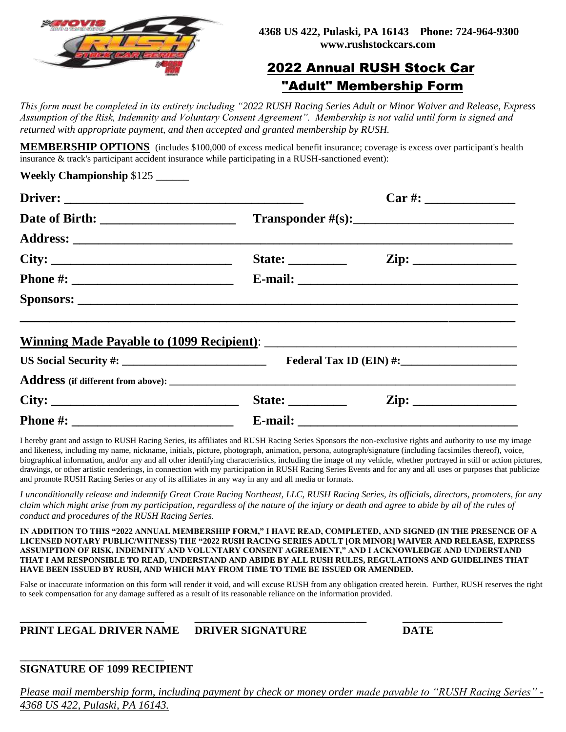

# 2022 Annual RUSH Stock Car "Adult" Membership Form

*This form must be completed in its entirety including "2022 RUSH Racing Series Adult or Minor Waiver and Release, Express Assumption of the Risk, Indemnity and Voluntary Consent Agreement". Membership is not valid until form is signed and returned with appropriate payment, and then accepted and granted membership by RUSH.* 

**MEMBERSHIP OPTIONS** (includes \$100,000 of excess medical benefit insurance; coverage is excess over participant's health insurance & track's participant accident insurance while participating in a RUSH-sanctioned event):

| Weekly Championship \$125 |                                                                                                                                                                                                                                                                                                                                                                                                                          |                                                          |             |                                                                                                                                                                                          |  |
|---------------------------|--------------------------------------------------------------------------------------------------------------------------------------------------------------------------------------------------------------------------------------------------------------------------------------------------------------------------------------------------------------------------------------------------------------------------|----------------------------------------------------------|-------------|------------------------------------------------------------------------------------------------------------------------------------------------------------------------------------------|--|
|                           |                                                                                                                                                                                                                                                                                                                                                                                                                          |                                                          |             |                                                                                                                                                                                          |  |
|                           | $Transportder #(s): \n\n\n\nTransporter\nhttp://www.101817-001817-001817-001817-001817-001817-001817-001817-001817-001817-001817-001817-001817-001817-001817-001817-001817-001817-001817-001817-001817-001817-001817-001817-00181$                                                                                                                                                                                       |                                                          | Transporter | http://www.101817-001817-001817-001817-001817-001817-001817-001817-001817-001817-001817-001817-001817-001817-001817-001817-001817-001817-001817-001817-001817-001817-001817-001817-00181 |  |
| Transporter               | http://www.101817-001817-001817-001817-001817-001817-001817-001817-001817-001817-001817-001817-001817-001817-001817-001817-001817-001817-001817-001817-001817-001817-001817-001817-00181                                                                                                                                                                                                                                 |                                                          |             |                                                                                                                                                                                          |  |
|                           |                                                                                                                                                                                                                                                                                                                                                                                                                          |                                                          |             |                                                                                                                                                                                          |  |
| City:                     |                                                                                                                                                                                                                                                                                                                                                                                                                          | State: $\qquad \qquad \text{Zip: } \qquad \qquad \qquad$ |             |                                                                                                                                                                                          |  |
|                           |                                                                                                                                                                                                                                                                                                                                                                                                                          |                                                          |             |                                                                                                                                                                                          |  |
|                           |                                                                                                                                                                                                                                                                                                                                                                                                                          |                                                          |             |                                                                                                                                                                                          |  |
|                           |                                                                                                                                                                                                                                                                                                                                                                                                                          |                                                          |             |                                                                                                                                                                                          |  |
|                           |                                                                                                                                                                                                                                                                                                                                                                                                                          |                                                          |             |                                                                                                                                                                                          |  |
|                           |                                                                                                                                                                                                                                                                                                                                                                                                                          |                                                          |             |                                                                                                                                                                                          |  |
| City:                     | State: $\frac{1}{\sqrt{1-\frac{1}{2}}}\frac{1}{\sqrt{1-\frac{1}{2}}}\frac{1}{\sqrt{1-\frac{1}{2}}}\frac{1}{\sqrt{1-\frac{1}{2}}}\frac{1}{\sqrt{1-\frac{1}{2}}}\frac{1}{\sqrt{1-\frac{1}{2}}}\frac{1}{\sqrt{1-\frac{1}{2}}}\frac{1}{\sqrt{1-\frac{1}{2}}}\frac{1}{\sqrt{1-\frac{1}{2}}}\frac{1}{\sqrt{1-\frac{1}{2}}}\frac{1}{\sqrt{1-\frac{1}{2}}}\frac{1}{\sqrt{1-\frac{1}{2}}}\frac{1}{\sqrt{1-\frac{1}{2}}}\frac{1}{$ |                                                          |             |                                                                                                                                                                                          |  |

**Phone #: \_\_\_\_\_\_\_\_\_\_\_\_\_\_\_\_\_\_\_\_\_\_\_\_\_ E-mail: \_\_\_\_\_\_\_\_\_\_\_\_\_\_\_\_\_\_\_\_\_\_\_\_\_\_\_\_\_\_\_\_\_\_**

I hereby grant and assign to RUSH Racing Series, its affiliates and RUSH Racing Series Sponsors the non-exclusive rights and authority to use my image and likeness, including my name, nickname, initials, picture, photograph, animation, persona, autograph/signature (including facsimiles thereof), voice, biographical information, and/or any and all other identifying characteristics, including the image of my vehicle, whether portrayed in still or action pictures, drawings, or other artistic renderings, in connection with my participation in RUSH Racing Series Events and for any and all uses or purposes that publicize and promote RUSH Racing Series or any of its affiliates in any way in any and all media or formats.

*I unconditionally release and indemnify Great Crate Racing Northeast, LLC, RUSH Racing Series, its officials, directors, promoters, for any claim which might arise from my participation, regardless of the nature of the injury or death and agree to abide by all of the rules of conduct and procedures of the RUSH Racing Series.*

**IN ADDITION TO THIS "2022 ANNUAL MEMBERSHIP FORM," I HAVE READ, COMPLETED, AND SIGNED (IN THE PRESENCE OF A LICENSED NOTARY PUBLIC/WITNESS) THE "2022 RUSH RACING SERIES ADULT [OR MINOR] WAIVER AND RELEASE, EXPRESS ASSUMPTION OF RISK, INDEMNITY AND VOLUNTARY CONSENT AGREEMENT," AND I ACKNOWLEDGE AND UNDERSTAND THAT I AM RESPONSIBLE TO READ, UNDERSTAND AND ABIDE BY ALL RUSH RULES, REGULATIONS AND GUIDELINES THAT HAVE BEEN ISSUED BY RUSH, AND WHICH MAY FROM TIME TO TIME BE ISSUED OR AMENDED.**

False or inaccurate information on this form will render it void, and will excuse RUSH from any obligation created herein. Further, RUSH reserves the right to seek compensation for any damage suffered as a result of its reasonable reliance on the information provided.

## **PRINT LEGAL DRIVER NAME DRIVER SIGNATURE DATE**

**\_\_\_\_\_\_\_\_\_\_\_\_\_\_\_\_\_\_\_\_\_\_\_\_\_\_ \_\_\_\_\_\_\_\_\_\_\_\_\_\_\_\_\_\_\_\_\_\_\_\_\_\_\_\_\_\_\_ \_\_\_\_\_\_\_\_\_\_\_\_\_\_\_\_\_\_**

#### **\_\_\_\_\_\_\_\_\_\_\_\_\_\_\_\_\_\_\_\_\_\_\_\_\_\_ SIGNATURE OF 1099 RECIPIENT**

*Please mail membership form, including payment by check or money order made payable to "RUSH Racing Series" - 4368 US 422, Pulaski, PA 16143.*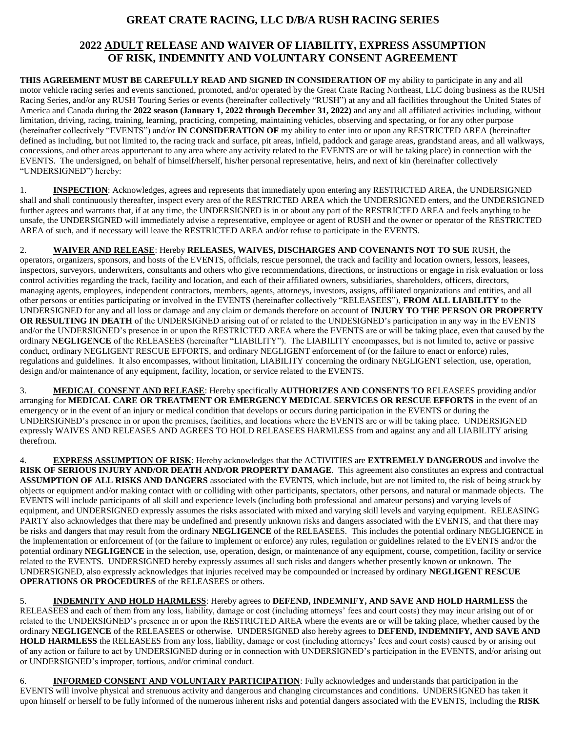### **GREAT CRATE RACING, LLC D/B/A RUSH RACING SERIES**

#### **2022 ADULT RELEASE AND WAIVER OF LIABILITY, EXPRESS ASSUMPTION OF RISK, INDEMNITY AND VOLUNTARY CONSENT AGREEMENT**

**THIS AGREEMENT MUST BE CAREFULLY READ AND SIGNED IN CONSIDERATION OF** my ability to participate in any and all motor vehicle racing series and events sanctioned, promoted, and/or operated by the Great Crate Racing Northeast, LLC doing business as the RUSH Racing Series, and/or any RUSH Touring Series or events (hereinafter collectively "RUSH") at any and all facilities throughout the United States of America and Canada during the **2022 season (January 1, 2022 through December 31, 2022)** and any and all affiliated activities including, without limitation, driving, racing, training, learning, practicing, competing, maintaining vehicles, observing and spectating, or for any other purpose (hereinafter collectively "EVENTS") and/or **IN CONSIDERATION OF** my ability to enter into or upon any RESTRICTED AREA (hereinafter defined as including, but not limited to, the racing track and surface, pit areas, infield, paddock and garage areas, grandstand areas, and all walkways, concessions, and other areas appurtenant to any area where any activity related to the EVENTS are or will be taking place) in connection with the EVENTS. The undersigned, on behalf of himself/herself, his/her personal representative, heirs, and next of kin (hereinafter collectively "UNDERSIGNED") hereby:

1. **INSPECTION**: Acknowledges, agrees and represents that immediately upon entering any RESTRICTED AREA, the UNDERSIGNED shall and shall continuously thereafter, inspect every area of the RESTRICTED AREA which the UNDERSIGNED enters, and the UNDERSIGNED further agrees and warrants that, if at any time, the UNDERSIGNED is in or about any part of the RESTRICTED AREA and feels anything to be unsafe, the UNDERSIGNED will immediately advise a representative, employee or agent of RUSH and the owner or operator of the RESTRICTED AREA of such, and if necessary will leave the RESTRICTED AREA and/or refuse to participate in the EVENTS.

2. **WAIVER AND RELEASE**: Hereby **RELEASES, WAIVES, DISCHARGES AND COVENANTS NOT TO SUE** RUSH, the operators, organizers, sponsors, and hosts of the EVENTS, officials, rescue personnel, the track and facility and location owners, lessors, leasees, inspectors, surveyors, underwriters, consultants and others who give recommendations, directions, or instructions or engage in risk evaluation or loss control activities regarding the track, facility and location, and each of their affiliated owners, subsidiaries, shareholders, officers, directors, managing agents, employees, independent contractors, members, agents, attorneys, investors, assigns, affiliated organizations and entities, and all other persons or entities participating or involved in the EVENTS (hereinafter collectively "RELEASEES"), **FROM ALL LIABILITY** to the UNDERSIGNED for any and all loss or damage and any claim or demands therefore on account of **INJURY TO THE PERSON OR PROPERTY OR RESULTING IN DEATH** of the UNDERSIGNED arising out of or related to the UNDESIGNED's participation in any way in the EVENTS and/or the UNDERSIGNED's presence in or upon the RESTRICTED AREA where the EVENTS are or will be taking place, even that caused by the ordinary **NEGLIGENCE** of the RELEASEES (hereinafter "LIABILITY"). The LIABILITY encompasses, but is not limited to, active or passive conduct, ordinary NEGLIGENT RESCUE EFFORTS, and ordinary NEGLIGENT enforcement of (or the failure to enact or enforce) rules, regulations and guidelines. It also encompasses, without limitation, LIABILITY concerning the ordinary NEGLIGENT selection, use, operation, design and/or maintenance of any equipment, facility, location, or service related to the EVENTS.

3. **MEDICAL CONSENT AND RELEASE**: Hereby specifically **AUTHORIZES AND CONSENTS TO** RELEASEES providing and/or arranging for **MEDICAL CARE OR TREATMENT OR EMERGENCY MEDICAL SERVICES OR RESCUE EFFORTS** in the event of an emergency or in the event of an injury or medical condition that develops or occurs during participation in the EVENTS or during the UNDERSIGNED's presence in or upon the premises, facilities, and locations where the EVENTS are or will be taking place. UNDERSIGNED expressly WAIVES AND RELEASES AND AGREES TO HOLD RELEASEES HARMLESS from and against any and all LIABILITY arising therefrom.

4. **EXPRESS ASSUMPTION OF RISK**: Hereby acknowledges that the ACTIVITIES are **EXTREMELY DANGEROUS** and involve the **RISK OF SERIOUS INJURY AND/OR DEATH AND/OR PROPERTY DAMAGE**. This agreement also constitutes an express and contractual **ASSUMPTION OF ALL RISKS AND DANGERS** associated with the EVENTS, which include, but are not limited to, the risk of being struck by objects or equipment and/or making contact with or colliding with other participants, spectators, other persons, and natural or manmade objects. The EVENTS will include participants of all skill and experience levels (including both professional and amateur persons) and varying levels of equipment, and UNDERSIGNED expressly assumes the risks associated with mixed and varying skill levels and varying equipment. RELEASING PARTY also acknowledges that there may be undefined and presently unknown risks and dangers associated with the EVENTS, and that there may be risks and dangers that may result from the ordinary **NEGLIGENCE** of the RELEASEES. This includes the potential ordinary NEGLIGENCE in the implementation or enforcement of (or the failure to implement or enforce) any rules, regulation or guidelines related to the EVENTS and/or the potential ordinary **NEGLIGENCE** in the selection, use, operation, design, or maintenance of any equipment, course, competition, facility or service related to the EVENTS. UNDERSIGNED hereby expressly assumes all such risks and dangers whether presently known or unknown. The UNDERSIGNED, also expressly acknowledges that injuries received may be compounded or increased by ordinary **NEGLIGENT RESCUE OPERATIONS OR PROCEDURES** of the RELEASEES or others.

5. **INDEMNITY AND HOLD HARMLESS**: Hereby agrees to **DEFEND, INDEMNIFY, AND SAVE AND HOLD HARMLESS** the RELEASEES and each of them from any loss, liability, damage or cost (including attorneys' fees and court costs) they may incur arising out of or related to the UNDERSIGNED's presence in or upon the RESTRICTED AREA where the events are or will be taking place, whether caused by the ordinary **NEGLIGENCE** of the RELEASEES or otherwise. UNDERSIGNED also hereby agrees to **DEFEND, INDEMNIFY, AND SAVE AND HOLD HARMLESS** the RELEASEES from any loss, liability, damage or cost (including attorneys' fees and court costs) caused by or arising out of any action or failure to act by UNDERSIGNED during or in connection with UNDERSIGNED's participation in the EVENTS, and/or arising out or UNDERSIGNED's improper, tortious, and/or criminal conduct.

6. **INFORMED CONSENT AND VOLUNTARY PARTICIPATION**: Fully acknowledges and understands that participation in the EVENTS will involve physical and strenuous activity and dangerous and changing circumstances and conditions. UNDERSIGNED has taken it upon himself or herself to be fully informed of the numerous inherent risks and potential dangers associated with the EVENTS, including the **RISK**